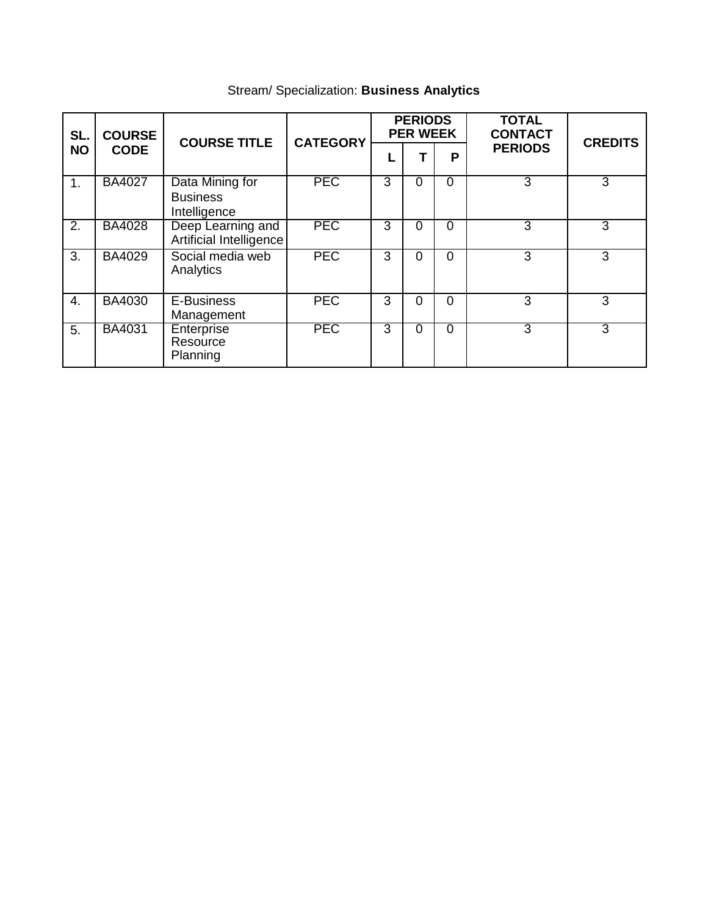| SL.<br><b>NO</b> | <b>COURSE</b><br><b>CODE</b> | <b>COURSE TITLE</b>                                | <b>CATEGORY</b> | <b>PERIODS</b><br><b>PER WEEK</b> |          |          | <b>TOTAL</b><br><b>CONTACT</b> | <b>CREDITS</b> |
|------------------|------------------------------|----------------------------------------------------|-----------------|-----------------------------------|----------|----------|--------------------------------|----------------|
|                  |                              |                                                    |                 |                                   |          | P        | <b>PERIODS</b>                 |                |
| 1.               | <b>BA4027</b>                | Data Mining for<br><b>Business</b><br>Intelligence | <b>PEC</b>      | 3                                 | 0        | $\Omega$ | 3                              | 3              |
| $\overline{2}$ . | <b>BA4028</b>                | Deep Learning and<br>Artificial Intelligence       | <b>PEC</b>      | 3                                 | $\Omega$ | $\Omega$ | 3                              | 3              |
| 3.               | <b>BA4029</b>                | Social media web<br>Analytics                      | <b>PEC</b>      | 3                                 | $\Omega$ | $\Omega$ | 3                              | 3              |
| 4.               | <b>BA4030</b>                | E-Business<br>Management                           | <b>PEC</b>      | 3                                 | $\Omega$ | $\Omega$ | 3                              | 3              |
| 5.               | <b>BA4031</b>                | Enterprise<br>Resource<br>Planning                 | <b>PEC</b>      | 3                                 | 0        | $\Omega$ | 3                              | 3              |

# Stream/ Specialization: **Business Analytics**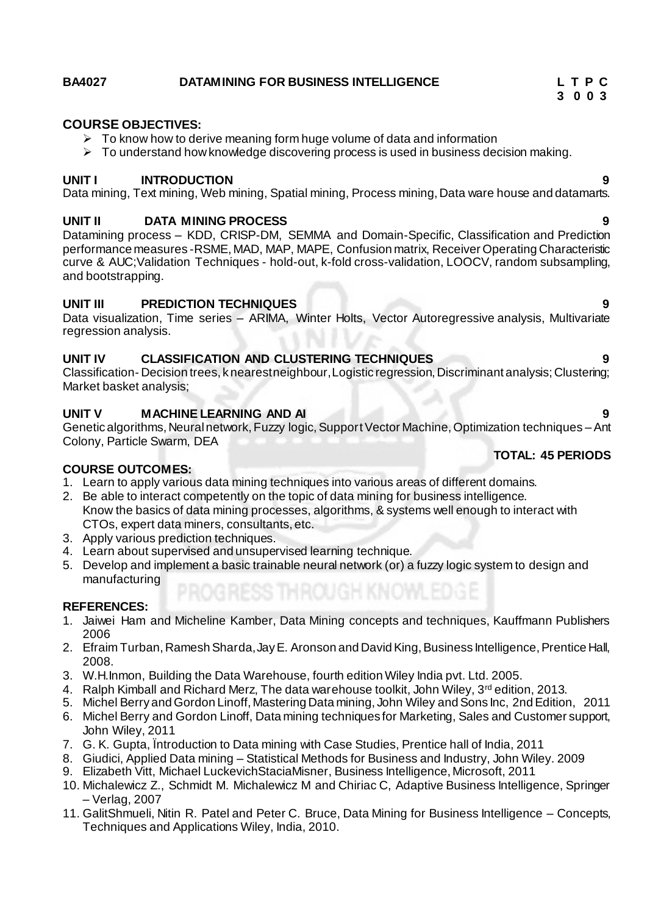# **BA4027 DATAMINING FOR BUSINESS INTELLIGENCE L T P C**

### **COURSE OBJECTIVES:**

- $\triangleright$  To know how to derive meaning form huge volume of data and information
- $\triangleright$  To understand how knowledge discovering process is used in business decision making.

### **UNIT I INTRODUCTION 9**

Data mining, Text mining, Web mining, Spatial mining, Process mining, Data ware house and datamarts.

### **UNIT II DATA MINING PROCESS 9**

Datamining process – KDD, CRISP-DM, SEMMA and Domain-Specific, Classification and Prediction performance measures -RSME, MAD, MAP, MAPE, Confusion matrix, Receiver Operating Characteristic curve & AUC;Validation Techniques - hold-out, k-fold cross-validation, LOOCV, random subsampling, and bootstrapping.

### **UNIT III PREDICTION TECHNIQUES 9**

Data visualization, Time series – ARIMA, Winter Holts, Vector Autoregressive analysis, Multivariate regression analysis.

### **UNIT IV CLASSIFICATION AND CLUSTERING TECHNIQUES 9**

Classification- Decision trees, k nearest neighbour, Logistic regression, Discriminant analysis; Clustering; Market basket analysis;

### **UNIT V MACHINE LEARNING AND AI 9**

Genetic algorithms, Neural network, Fuzzy logic, Support Vector Machine, Optimization techniques –Ant Colony, Particle Swarm, DEA

### **COURSE OUTCOMES:**

- 1. Learn to apply various data mining techniques into various areas of different domains.
- 2. Be able to interact competently on the topic of data mining for business intelligence. Know the basics of data mining processes, algorithms, & systems well enough to interact with CTOs, expert data miners, consultants, etc.
- 3. Apply various prediction techniques.
- 4. Learn about supervised and unsupervised learning technique.
- 5. Develop and implement a basic trainable neural network (or) a fuzzy logic system to design and manufacturing

### **REFERENCES:**

- 1. Jaiwei Ham and Micheline Kamber, Data Mining concepts and techniques, Kauffmann Publishers 2006
- 2. Efraim Turban, Ramesh Sharda, Jay E. Aronson and David King, Business Intelligence, Prentice Hall, 2008.
- 3. W.H.Inmon, Building the Data Warehouse, fourth edition Wiley India pvt. Ltd. 2005.
- 4. Ralph Kimball and Richard Merz, The data warehouse toolkit, John Wiley, 3rd edition, 2013.
- 5. Michel Berry and Gordon Linoff, Mastering Data mining, John Wiley and Sons Inc, 2nd Edition, 2011
- 6. Michel Berry and Gordon Linoff, Data mining techniques for Marketing, Sales and Customer support, John Wiley, 2011
- 7. G. K. Gupta, Ïntroduction to Data mining with Case Studies, Prentice hall of India, 2011
- 8. Giudici, Applied Data mining Statistical Methods for Business and Industry, John Wiley. 2009
- 9. Elizabeth Vitt, Michael LuckevichStaciaMisner, Business Intelligence, Microsoft, 2011
- 10. Michalewicz Z., Schmidt M. Michalewicz M and Chiriac C, Adaptive Business Intelligence, Springer – Verlag, 2007
- 11. GalitShmueli, Nitin R. Patel and Peter C. Bruce, Data Mining for Business Intelligence Concepts, Techniques and Applications Wiley, India, 2010.

 **3 0 0 3** 

# **TOTAL: 45 PERIODS**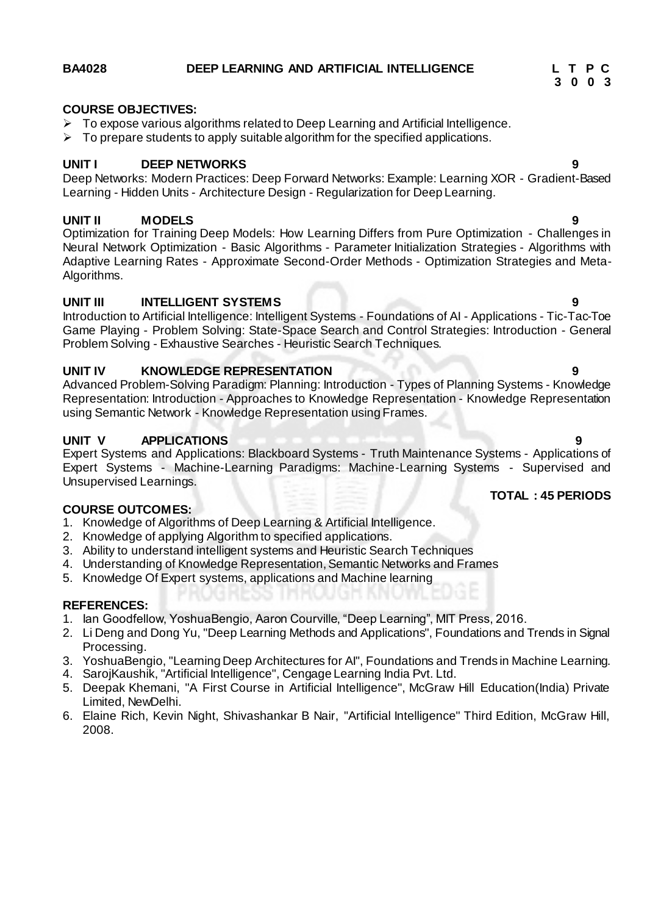### **BA4028 DEEP LEARNING AND ARTIFICIAL INTELLIGENCE L T P C**

### **COURSE OBJECTIVES:**

- $\triangleright$  To expose various algorithms related to Deep Learning and Artificial Intelligence.
- $\triangleright$  To prepare students to apply suitable algorithm for the specified applications.

### **UNIT I DEEP NETWORKS 9**

Deep Networks: Modern Practices: Deep Forward Networks: Example: Learning XOR - Gradient-Based Learning - Hidden Units - Architecture Design - Regularization for Deep Learning.

### **UNIT II MODELS 9**

Optimization for Training Deep Models: How Learning Differs from Pure Optimization - Challenges in Neural Network Optimization - Basic Algorithms - Parameter Initialization Strategies - Algorithms with Adaptive Learning Rates - Approximate Second-Order Methods - Optimization Strategies and Meta-Algorithms.

### **UNIT III INTELLIGENT SYSTEMS 9**

Introduction to Artificial Intelligence: Intelligent Systems - Foundations of AI - Applications - Tic-Tac-Toe Game Playing - Problem Solving: State-Space Search and Control Strategies: Introduction - General Problem Solving - Exhaustive Searches - Heuristic Search Techniques.

### **UNIT IV KNOWLEDGE REPRESENTATION 9**

Advanced Problem-Solving Paradigm: Planning: Introduction - Types of Planning Systems - Knowledge Representation: Introduction - Approaches to Knowledge Representation - Knowledge Representation using Semantic Network - Knowledge Representation using Frames.

### **UNIT V APPLICATIONS 9**

Expert Systems and Applications: Blackboard Systems - Truth Maintenance Systems - Applications of Expert Systems - Machine-Learning Paradigms: Machine-Learning Systems - Supervised and Unsupervised Learnings.

### **COURSE OUTCOMES:**

- 1. Knowledge of Algorithms of Deep Learning & Artificial Intelligence.
- 2. Knowledge of applying Algorithm to specified applications.
- 3. Ability to understand intelligent systems and Heuristic Search Techniques
- 4. Understanding of Knowledge Representation, Semantic Networks and Frames
- 5. Knowledge Of Expert systems, applications and Machine learning

### **REFERENCES:**

- 1. Ian Goodfellow, YoshuaBengio, Aaron Courville, "Deep Learning", MIT Press, 2016.
- 2. Li Deng and Dong Yu, "Deep Learning Methods and Applications", Foundations and Trends in Signal Processing.
- 3. YoshuaBengio, "Learning Deep Architectures for AI", Foundations and Trends in Machine Learning.
- 4. SarojKaushik, "Artificial Intelligence", Cengage Learning India Pvt. Ltd.
- 5. Deepak Khemani, "A First Course in Artificial Intelligence", McGraw Hill Education(India) Private Limited, NewDelhi.
- 6. Elaine Rich, Kevin Night, Shivashankar B Nair, "Artificial Intelligence" Third Edition, McGraw Hill, 2008.

# **3 0 0 3**

**TOTAL : 45 PERIODS**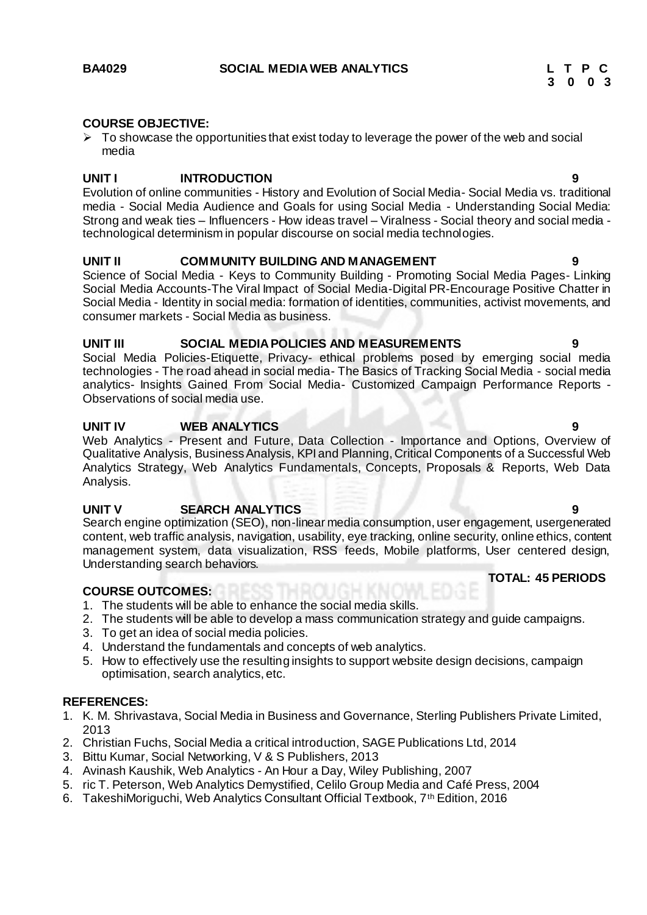### **COURSE OBJECTIVE:**

 $\triangleright$  To showcase the opportunities that exist today to leverage the power of the web and social media

### **UNIT I INTRODUCTION 9**

Evolution of online communities - History and Evolution of Social Media- Social Media vs. traditional media - Social Media Audience and Goals for using Social Media - Understanding Social Media: Strong and weak ties – Influencers - How ideas travel – Viralness - Social theory and social media technological determinism in popular discourse on social media technologies.

### **UNIT II COMMUNITY BUILDING AND MANAGEMENT 9**

Science of Social Media - Keys to Community Building - Promoting Social Media Pages- Linking Social Media Accounts-The Viral Impact of Social Media-Digital PR-Encourage Positive Chatter in Social Media - Identity in social media: formation of identities, communities, activist movements, and consumer markets - Social Media as business.

### **UNIT III SOCIAL MEDIA POLICIES AND MEASUREMENTS 9**

Social Media Policies-Etiquette, Privacy- ethical problems posed by emerging social media technologies - The road ahead in social media- The Basics of Tracking Social Media - social media analytics- Insights Gained From Social Media- Customized Campaign Performance Reports - Observations of social media use.

### **UNIT IV WEB ANALYTICS 9**

Web Analytics - Present and Future, Data Collection - Importance and Options, Overview of Qualitative Analysis, Business Analysis, KPI and Planning, Critical Components of a Successful Web Analytics Strategy, Web Analytics Fundamentals, Concepts, Proposals & Reports, Web Data Analysis.

### **UNIT V SEARCH ANALYTICS 9**

Search engine optimization (SEO), non-linear media consumption, user engagement, usergenerated content, web traffic analysis, navigation, usability, eye tracking, online security, online ethics, content management system, data visualization, RSS feeds, Mobile platforms, User centered design, Understanding search behaviors.

### **COURSE OUTCOMES:**

- 1. The students will be able to enhance the social media skills.
- 2. The students will be able to develop a mass communication strategy and guide campaigns.
- 3. To get an idea of social media policies.
- 4. Understand the fundamentals and concepts of web analytics.
- 5. How to effectively use the resulting insights to support website design decisions, campaign optimisation, search analytics, etc.

### **REFERENCES:**

- 1. K. M. Shrivastava, Social Media in Business and Governance, Sterling Publishers Private Limited, 2013
- 2. Christian Fuchs, Social Media a critical introduction, SAGE Publications Ltd, 2014
- 3. Bittu Kumar, Social Networking, V & S Publishers, 2013
- 4. Avinash Kaushik, Web Analytics An Hour a Day, Wiley Publishing, 2007
- 5. ric T. Peterson, Web Analytics Demystified, Celilo Group Media and Café Press, 2004
- 6. TakeshiMoriguchi, Web Analytics Consultant Official Textbook, 7th Edition, 2016

 **TOTAL: 45 PERIODS**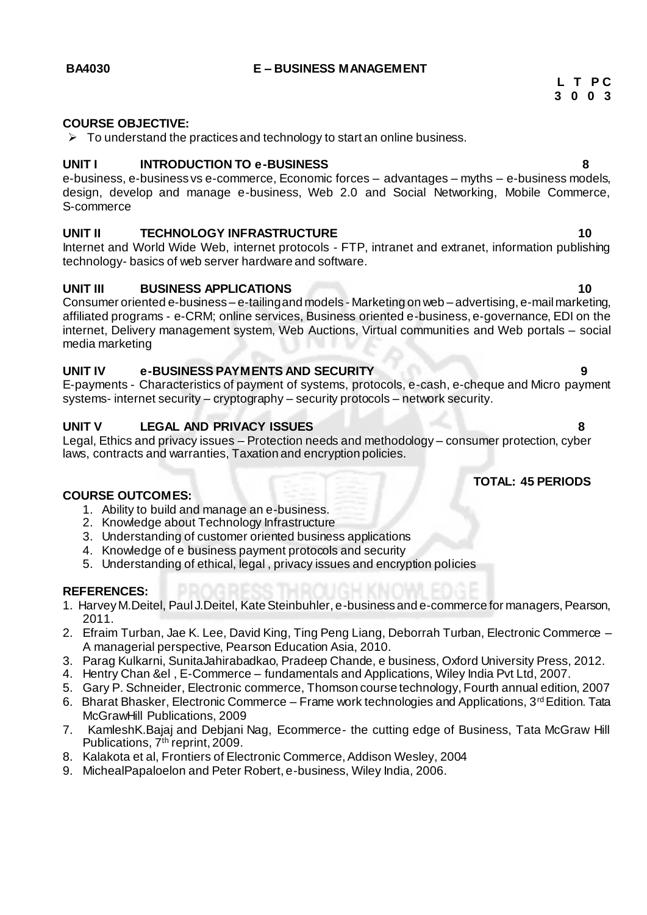### **BA4030 E – BUSINESS MANAGEMENT**

### **COURSE OBJECTIVE:**

 $\triangleright$  To understand the practices and technology to start an online business.

### **UNIT I INTRODUCTION TO e-BUSINESS 8**

e-business, e-business vs e-commerce, Economic forces – advantages – myths – e-business models, design, develop and manage e-business, Web 2.0 and Social Networking, Mobile Commerce, S-commerce

### **UNIT II TECHNOLOGY INFRASTRUCTURE 10**

Internet and World Wide Web, internet protocols - FTP, intranet and extranet, information publishing technology- basics of web server hardware and software.

### **UNIT III BUSINESS APPLICATIONS 10**

Consumer oriented e-business – e-tailing and models - Marketing on web – advertising, e-mail marketing, affiliated programs - e-CRM; online services, Business oriented e-business, e-governance, EDI on the internet, Delivery management system, Web Auctions, Virtual communities and Web portals – social media marketing

### **UNIT IV e-BUSINESS PAYMENTS AND SECURITY 9**

E-payments - Characteristics of payment of systems, protocols, e-cash, e-cheque and Micro payment systems- internet security – cryptography – security protocols – network security.

### **UNIT V LEGAL AND PRIVACY ISSUES 8**

Legal, Ethics and privacy issues – Protection needs and methodology – consumer protection, cyber laws, contracts and warranties, Taxation and encryption policies.

### **TOTAL: 45 PERIODS**

### **COURSE OUTCOMES:**

- 1. Ability to build and manage an e-business.
- 2. Knowledge about Technology Infrastructure
- 3. Understanding of customer oriented business applications
- 4. Knowledge of e business payment protocols and security
- 5. Understanding of ethical, legal , privacy issues and encryption policies

### **REFERENCES:**

- 1. Harvey M.Deitel, Paul J.Deitel, Kate Steinbuhler, e-business and e-commerce for managers, Pearson, 2011.
- 2. Efraim Turban, Jae K. Lee, David King, Ting Peng Liang, Deborrah Turban, Electronic Commerce A managerial perspective, Pearson Education Asia, 2010.
- 3. Parag Kulkarni, SunitaJahirabadkao, Pradeep Chande, e business, Oxford University Press, 2012.
- 4. Hentry Chan &el , E-Commerce fundamentals and Applications, Wiley India Pvt Ltd, 2007.
- 5. Gary P. Schneider, Electronic commerce, Thomson course technology, Fourth annual edition, 2007
- 6. Bharat Bhasker, Electronic Commerce Frame work technologies and Applications,  $3<sup>rd</sup>$  Edition. Tata McGrawHill Publications, 2009
- 7. KamleshK.Bajaj and Debjani Nag, Ecommerce- the cutting edge of Business, Tata McGraw Hill Publications, 7<sup>th</sup> reprint, 2009.
- 8. Kalakota et al, Frontiers of Electronic Commerce, Addison Wesley, 2004
- 9. MichealPapaloelon and Peter Robert, e-business, Wiley India, 2006.

**L T P C 3 0 0 3**